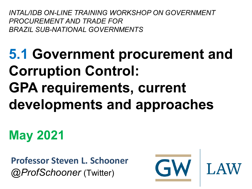*INTAL/IDB ON-LINE TRAINING WORKSHOP ON GOVERNMENT PROCUREMENT AND TRADE FOR BRAZIL SUB-NATIONAL GOVERNMENTS*

### **5.1 Government procurement and Corruption Control: GPA requirements, current developments and approaches**

**May 2021**

**Professor Steven L. Schooner** *@ProfSchooner* (Twitter)



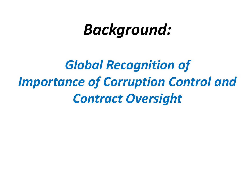### *Background:*

*Global Recognition of Importance of Corruption Control and Contract Oversight*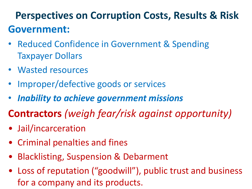#### **Perspectives on Corruption Costs, Results & Risk Government:**

- Reduced Confidence in Government & Spending Taxpayer Dollars
- Wasted resources
- Improper/defective goods or services
- *Inability to achieve government missions*
- **Contractors** *(weigh fear/risk against opportunity)*
- Jail/incarceration
- Criminal penalties and fines
- Blacklisting, Suspension & Debarment
- Loss of reputation ("goodwill"), public trust and business for a company and its products.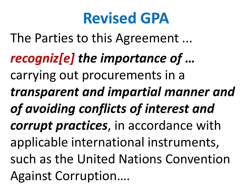### **Revised GPA**

The Parties to this Agreement ...

*recogniz[e] the importance of* **…** carrying out procurements in a *transparent and impartial manner and of avoiding conflicts of interest and corrupt practices*, in accordance with applicable international instruments, such as the United Nations Convention Against Corruption….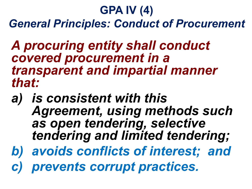#### **GPA IV (4)** *General Principles: Conduct of Procurement*

*A procuring entity shall conduct covered procurement in a transparent and impartial manner that:*

- *a) is consistent with this Agreement, using methods such as open tendering, selective tendering and limited tendering;*
- *b) avoids conflicts of interest; and*
- *c) prevents corrupt practices.*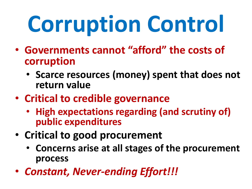# **Corruption Control**

- **Governments cannot "afford" the costs of corruption**
	- **Scarce resources (money) spent that does not return value**
- **Critical to credible governance**
	- **High expectations regarding (and scrutiny of) public expenditures**
- **Critical to good procurement**
	- **Concerns arise at all stages of the procurement process**
- *Constant, Never-ending Effort!!!*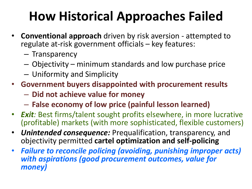#### **How Historical Approaches Failed**

- **Conventional approach** driven by risk aversion attempted to regulate at-risk government officials – key features:
	- Transparency
	- Objectivity minimum standards and low purchase price
	- Uniformity and Simplicity
- **Government buyers disappointed with procurement results**
	- **Did not achieve value for money**
	- **False economy of low price (painful lesson learned)**
- *Exit:* Best firms/talent sought profits elsewhere, in more lucrative (profitable) markets (with more sophisticated, flexible customers)
- *Unintended consequence:* Prequalification, transparency, and objectivity permitted **cartel optimization and self-policing**
- *Failure to reconcile policing (avoiding, punishing improper acts) with aspirations (good procurement outcomes, value for money)*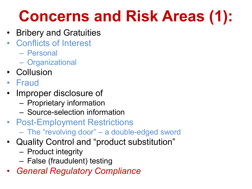### **Concerns and Risk Areas (1):**

- Bribery and Gratuities
- Conflicts of Interest
	- Personal
	- Organizational
- Collusion
- Fraud
- Improper disclosure of
	- Proprietary information
	- Source-selection information
- Post-Employment Restrictions
	- The "revolving door" a double-edged sword
- Quality Control and "product substitution"
	- Product integrity
	- False (fraudulent) testing
- *General Regulatory Compliance*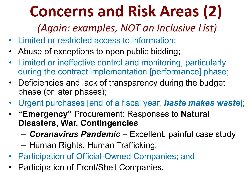### **Concerns and Risk Areas (2)**

*(Again: examples, NOT an Inclusive List)*

- Limited or restricted access to information;
- Abuse of exceptions to open public bidding;
- Limited or ineffective control and monitoring, particularly during the contract implementation [performance] phase;
- Deficiencies and lack of transparency during the budget phase (or later phases);
- Urgent purchases [end of a fiscal year, *haste makes waste*];
- **"Emergency"** Procurement: Responses to **Natural Disasters, War, Contingencies**
	- *Coranavirus Pandemic*  Excellent, painful case study
	- Human Rights, Human Trafficking;
- Participation of Official-Owned Companies; and
- Participation of Front/Shell Companies.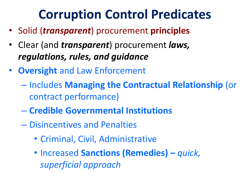#### **Corruption Control Predicates**

- Solid (*transparent*) procurement **principles**
- Clear (and *transparent*) procurement *laws, regulations, rules, and guidance*
- **Oversight** and Law Enforcement
	- Includes **Managing the Contractual Relationship** (or contract performance)
	- **Credible Governmental Institutions**
	- Disincentives and Penalties
		- Criminal, Civil, Administrative
		- Increased **Sanctions (Remedies) –** *quick, superficial approach*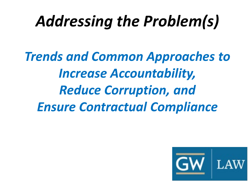### *Addressing the Problem(s)*

*Trends and Common Approaches to Increase Accountability, Reduce Corruption, and Ensure Contractual Compliance*

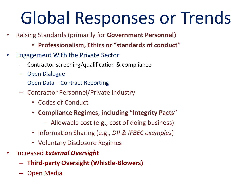## Global Responses or Trends

- Raising Standards (primarily for **Government Personnel)**
	- **Professionalism, Ethics or "standards of conduct"**
- Engagement With the Private Sector
	- Contractor screening/qualification & compliance
	- Open Dialogue
	- Open Data Contract Reporting
	- Contractor Personnel/Private Industry
		- Codes of Conduct
		- **Compliance Regimes, including "Integrity Pacts"**
			- Allowable cost (e.g., cost of doing business)
		- Information Sharing (e.g., *DII & IFBEC examples*)
		- Voluntary Disclosure Regimes
- Increased *External Oversight*
	- **Third-party Oversight (Whistle-Blowers)**
	- Open Media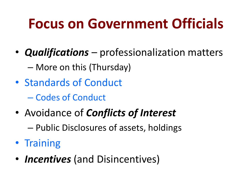#### **Focus on Government Officials**

- *Qualifications* professionalization matters – More on this (Thursday)
- Standards of Conduct
	- Codes of Conduct
- Avoidance of *Conflicts of Interest*
	- Public Disclosures of assets, holdings
- Training
- *Incentives* (and Disincentives)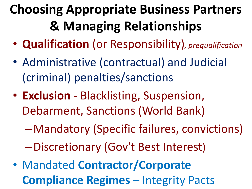#### **Choosing Appropriate Business Partners & Managing Relationships**

- **Qualification** (or Responsibility)*, prequalification*
- Administrative (contractual) and Judicial (criminal) penalties/sanctions
- **Exclusion** Blacklisting, Suspension, Debarment, Sanctions (World Bank)
	- –Mandatory (Specific failures, convictions)
	- –Discretionary (Gov't Best Interest)
- Mandated **Contractor/Corporate Compliance Regimes** – Integrity Pacts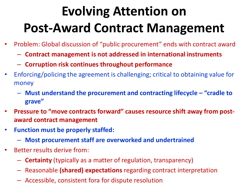#### **Evolving Attention on Post-Award Contract Management**

- Problem: Global discussion of "public procurement" ends with contract award
	- **Contract management is not addressed in international instruments**
	- **Corruption risk continues throughout performance**
- Enforcing/policing the agreement is challenging; critical to obtaining value for money
	- **Must understand the procurement and contracting lifecycle – "cradle to grave"**
- **Pressure to "move contracts forward" causes resource shift away from postaward contract management**
- **Function must be properly staffed:**
	- **Most procurement staff are overworked and undertrained**
- Better results derive from:
	- **Certainty** (typically as a matter of regulation, transparency)
	- Reasonable **(shared) expectations** regarding contract interpretation
	- Accessible, consistent fora for dispute resolution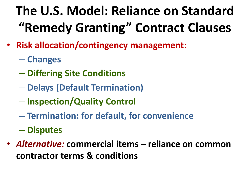#### **The U.S. Model: Reliance on Standard "Remedy Granting" Contract Clauses**

- **Risk allocation/contingency management:** 
	- **Changes**
	- **Differing Site Conditions**
	- **Delays (Default Termination)**
	- **Inspection/Quality Control**
	- **Termination: for default, for convenience**
	- **Disputes**
- *Alternative:* **commercial items – reliance on common contractor terms & conditions**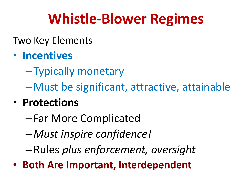#### **Whistle-Blower Regimes**

#### Two Key Elements

#### • **Incentives**

–Typically monetary

–Must be significant, attractive, attainable

#### • **Protections**

- –Far More Complicated
- –*Must inspire confidence!*
- –Rules *plus enforcement, oversight*
- **Both Are Important, Interdependent**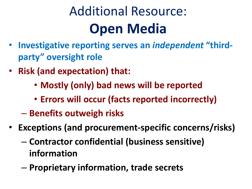#### Additional Resource: **Open Media**

- **Investigative reporting serves an** *independent* **"thirdparty" oversight role**
- **Risk (and expectation) that:**
	- **Mostly (only) bad news will be reported**
	- **Errors will occur (facts reported incorrectly)**
	- **Benefits outweigh risks**
- **Exceptions (and procurement-specific concerns/risks)**
	- **Contractor confidential (business sensitive) information**
	- **Proprietary information, trade secrets**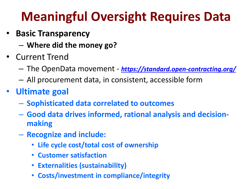#### **Meaningful Oversight Requires Data**

- **Basic Transparency**
	- **Where did the money go?**
- Current Trend
	- The OpenData movement *<https://standard.open-contracting.org/>*
	- All procurement data, in consistent, accessible form
- **Ultimate goal**
	- **Sophisticated data correlated to outcomes**
	- **Good data drives informed, rational analysis and decisionmaking**
	- **Recognize and include:**
		- **Life cycle cost/total cost of ownership**
		- **Customer satisfaction**
		- **Externalities (sustainability)**
		- **Costs/investment in compliance/integrity**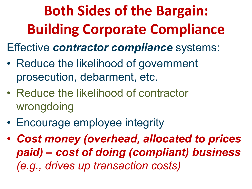**Both Sides of the Bargain: Building Corporate Compliance**

Effective *contractor compliance* systems:

- Reduce the likelihood of government prosecution, debarment, etc.
- Reduce the likelihood of contractor wrongdoing
- Encourage employee integrity
- *Cost money (overhead, allocated to prices paid) – cost of doing (compliant) business (e.g., drives up transaction costs)*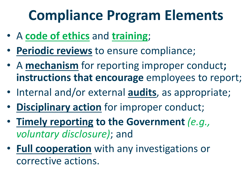#### **Compliance Program Elements**

- A **code of ethics** and **training**;
- **Periodic reviews** to ensure compliance;
- A **mechanism** for reporting improper conduct**; instructions that encourage** employees to report;
- Internal and/or external **audits**, as appropriate;
- **Disciplinary action** for improper conduct;
- **Timely reporting to the Government** *(e.g., voluntary disclosure)*; and
- **Full cooperation** with any investigations or corrective actions.